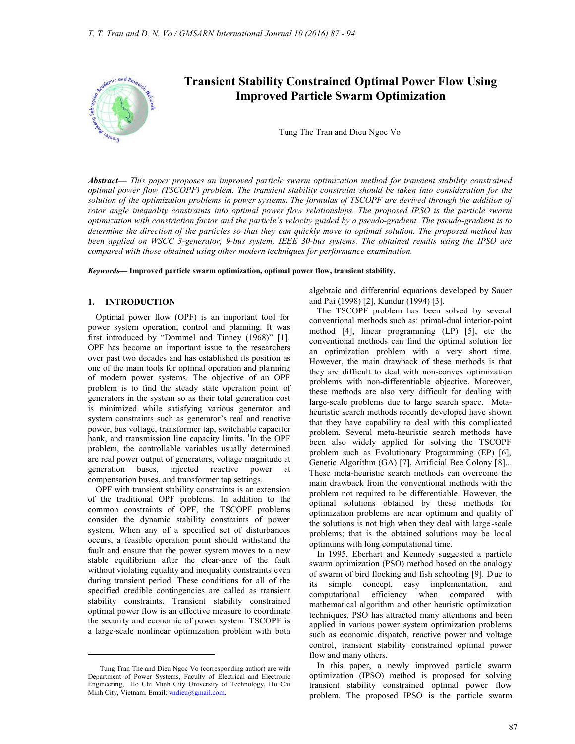

# **Transient Stability Constrained Optimal Power Flow Using Improved Particle Swarm Optimization**

Tung The Tran and Dieu Ngoc Vo

*Abstract***—** *This paper proposes an improved particle swarm optimization method for transient stability constrained optimal power flow (TSCOPF) problem. The transient stability constraint should be taken into consideration for the*  solution of the optimization problems in power systems. The formulas of TSCOPF are derived through the addition of *rotor angle inequality constraints into optimal power flow relationships. The proposed IPSO is the particle swarm optimization with constriction factor and the particle's velocity guided by a pseudo-gradient. The pseudo-gradient is to determine the direction of the particles so that they can quickly move to optimal solution. The proposed method has been applied on WSCC 3-generator, 9-bus system, IEEE 30-bus systems. The obtained results using the IPSO are compared with those obtained using other modern techniques for performance examination.*

*Keywords***— Improved particle swarm optimization, optimal power flow, transient stability.**

### **1. INTRODUCTION**

Optimal power flow (OPF) is an important tool for power system operation, control and planning. It was first introduced by "Dommel and Tinney (1968)" [1]. OPF has become an important issue to the researchers over past two decades and has established its position as one of the main tools for optimal operation and planning of modern power systems. The objective of an OPF problem is to find the steady state operation point of generators in the system so as their total generation cost is minimized while satisfying various generator and system constraints such as generator's real and reactive power, bus voltage, transformer tap, switchable capacitor bank, and transmission line capacity limits.  $\frac{1}{1}$ In the OPF problem, the controllable variables usually determined are real power output of generators, voltage magnitude at generation buses, injected reactive power at compensation buses, and transformer tap settings.

OPF with transient stability constraints is an extension of the traditional OPF problems. In addition to the common constraints of OPF, the TSCOPF problems consider the dynamic stability constraints of power system. When any of a specified set of disturbances occurs, a feasible operation point should withstand the fault and ensure that the power system moves to a new stable equilibrium after the clear-ance of the fault without violating equality and inequality constraints even during transient period. These conditions for all of the specified credible contingencies are called as transient stability constraints. Transient stability constrained optimal power flow is an effective measure to coordinate the security and economic of power system. TSCOPF is a large-scale nonlinear optimization problem with both

 $\ddot{\phantom{a}}$ 

algebraic and differential equations developed by Sauer and Pai (1998) [2], Kundur (1994) [3].

The TSCOPF problem has been solved by several conventional methods such as: primal-dual interior-point method [4], linear programming (LP) [5], etc the conventional methods can find the optimal solution for an optimization problem with a very short time. However, the main drawback of these methods is that they are difficult to deal with non-convex optimization problems with non-differentiable objective. Moreover, these methods are also very difficult for dealing with large-scale problems due to large search space. Metaheuristic search methods recently developed have shown that they have capability to deal with this complicated problem. Several meta-heuristic search methods have been also widely applied for solving the TSCOPF problem such as Evolutionary Programming (EP) [6], Genetic Algorithm (GA) [7], Artificial Bee Colony [8]... These meta-heuristic search methods can overcome the main drawback from the conventional methods with the problem not required to be differentiable. However, the optimal solutions obtained by these methods for optimization problems are near optimum and quality of the solutions is not high when they deal with large -scale problems; that is the obtained solutions may be local optimums with long computational time.

In 1995, Eberhart and Kennedy suggested a particle swarm optimization (PSO) method based on the analogy of swarm of bird flocking and fish schooling [9]. Due to its simple concept, easy implementation, and computational efficiency when compared with mathematical algorithm and other heuristic optimization techniques, PSO has attracted many attentions and been applied in various power system optimization problems such as economic dispatch, reactive power and voltage control, transient stability constrained optimal power flow and many others.

In this paper, a newly improved particle swarm optimization (IPSO) method is proposed for solving transient stability constrained optimal power flow problem. The proposed IPSO is the particle swarm

Tung Tran The and Dieu Ngoc Vo (corresponding author) are with Department of Power Systems, Faculty of Electrical and Electronic Engineering, Ho Chi Minh City University of Technology, Ho Chi Minh City, Vietnam. Email: vndieu@gmail.com.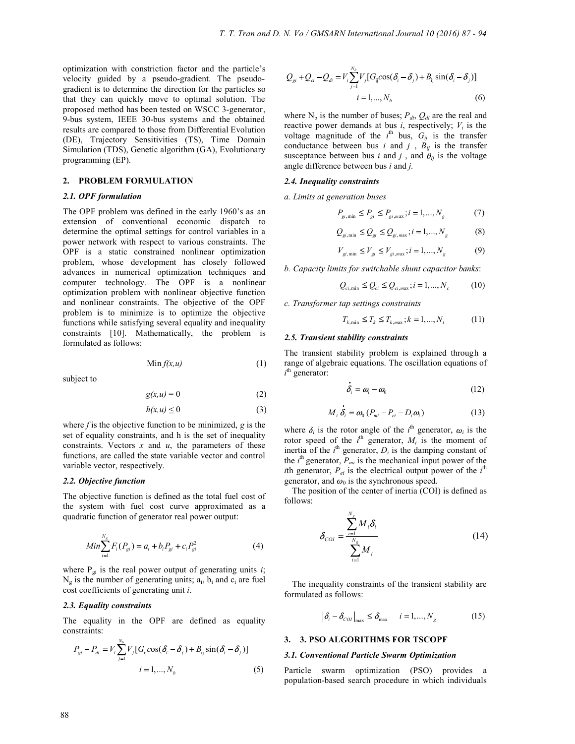optimization with constriction factor and the particle's velocity guided by a pseudo-gradient. The pseudogradient is to determine the direction for the particles so that they can quickly move to optimal solution. The proposed method has been tested on WSCC 3-generator, 9-bus system, IEEE 30-bus systems and the obtained results are compared to those from Differential Evolution (DE), Trajectory Sensitivities (TS), Time Domain Simulation (TDS), Genetic algorithm (GA), Evolutionary programming (EP).

## **2. PROBLEM FORMULATION**

## *2.1. OPF formulation*

The OPF problem was defined in the early 1960's as an extension of conventional economic dispatch to determine the optimal settings for control variables in a power network with respect to various constraints. The OPF is a static constrained nonlinear optimization problem, whose development has closely followed advances in numerical optimization techniques and computer technology. The OPF is a nonlinear optimization problem with nonlinear objective function and nonlinear constraints. The objective of the OPF problem is to minimize is to optimize the objective functions while satisfying several equality and inequality constraints [10]. Mathematically, the problem is formulated as follows:

$$
\text{Min } f(x, u) \tag{1}
$$

subject to

$$
g(x, u) = 0 \tag{2}
$$

$$
h(x, u) \le 0 \tag{3}
$$

where *f* is the objective function to be minimized, *g* is the set of equality constraints, and h is the set of inequality constraints. Vectors *x* and *u*, the parameters of these functions, are called the state variable vector and control variable vector, respectively.

## *2.2. Objective function*

The objective function is defined as the total fuel cost of the system with fuel cost curve approximated as a quadratic function of generator real power output:

$$
Min \sum_{i=1}^{N_g} F_i(P_{gi}) = a_i + b_i P_{gi} + c_i P_{gi}^2
$$
\n(4)

where  $P_{gi}$  is the real power output of generating units *i*;  $N_g$  is the number of generating units;  $a_i$ ,  $b_i$  and  $c_i$  are fuel cost coefficients of generating unit *i*.

### *2.3. Equality constraints*

The equality in the OPF are defined as equality constraints:

$$
P_{gi} - P_{di} = V_i \sum_{j=1}^{N_b} V_j [G_{ij} \cos(\delta_i - \delta_j) + B_{ij} \sin(\delta_i - \delta_j)]
$$
  

$$
i = 1, ..., N_b
$$
 (5)

$$
Q_{gi} + Q_{ci} - Q_{di} = V_i \sum_{j=1}^{N_b} V_j [G_{ij} \cos(\delta_i - \delta_j) + B_{ij} \sin(\delta_i - \delta_j)]
$$
  
  $i = 1, ..., N_b$  (6)

where  $N_b$  is the number of buses;  $P_{di}$ ,  $Q_{di}$  are the real and reactive power demands at bus  $i$ , respectively;  $V_i$  is the voltage magnitude of the  $i^{\text{th}}$  bus,  $G_{ij}$  is the transfer conductance between bus *i* and *j*,  $B_{ij}$  is the transfer susceptance between bus *i* and *j*, and  $\theta_{ij}$  is the voltage angle difference between bus *i* and *j.*

#### *2.4. Inequality constraints*

*a. Limits at generation buses*

$$
P_{gi, \min} \le P_{gi} \le P_{gi, \max}; i = 1, ..., N_g \tag{7}
$$

$$
Q_{gi, \min} \le Q_{gi} \le Q_{gi, \max} ; i = 1, ..., N_g \tag{8}
$$

$$
V_{gi, \min} \le V_{gi} \le V_{gi, \max}; i = 1, ..., N_g
$$
 (9)

*b. Capacity limits for switchable shunt capacitor banks*:

$$
Q_{ci,min} \le Q_{ci} \le Q_{ci,max}; i = 1,...,N_c
$$
 (10)

*c. Transformer tap settings constraints*

$$
T_{k,\min} \le T_k \le T_{k,\max}; k = 1,...,N_t \tag{11}
$$

## *2.5. Transient stability constraints*

The transient stability problem is explained through a range of algebraic equations. The oscillation equations of  $i$ <sup>th</sup> generator:

$$
\dot{e}_i = \omega_i - \omega_0 \tag{12}
$$

$$
M_i \dot{\delta}_i = \omega_0 (P_{mi} - P_{ei} - D_i \omega_i)
$$
 (13)

where  $\delta_i$  is the rotor angle of the *i*<sup>th</sup> generator,  $\omega_i$  is the rotor speed of the  $i^{\text{th}}$  generator,  $M_i$  is the moment of inertia of the  $i^{\text{th}}$  generator,  $D_i$  is the damping constant of the  $i<sup>th</sup>$  generator,  $P_{mi}$  is the mechanical input power of the *i*th generator,  $P_{ei}$  is the electrical output power of the  $i<sup>th</sup>$ generator, and  $\omega_0$  is the synchronous speed.

The position of the center of inertia (COI) is defined as follows:

$$
\delta_{\text{col}} = \frac{\sum_{i=1}^{N_{\text{g}}} M_i \delta_i}{\sum_{i=1}^{N_{\text{g}}} M_i}
$$
(14)

The inequality constraints of the transient stability are formulated as follows:

$$
\left| \delta_i - \delta_{\text{COI}} \right|_{\text{max}} \le \delta_{\text{max}} \qquad i = 1, ..., N_g \tag{15}
$$

#### **3. 3. PSO ALGORITHMS FOR TSCOPF**

### *3.1. Conventional Particle Swarm Optimization*

Particle swarm optimization (PSO) provides a population-based search procedure in which individuals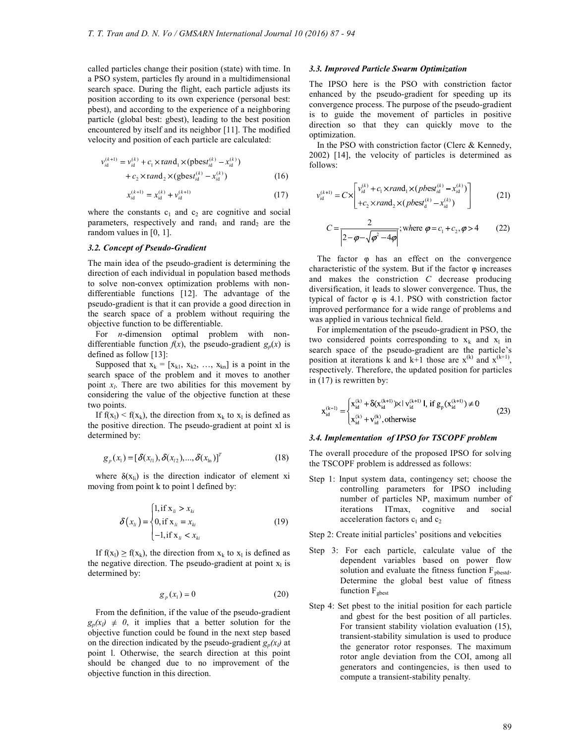called particles change their position (state) with time. In a PSO system, particles fly around in a multidimensional search space. During the flight, each particle adjusts its position according to its own experience (personal best: pbest), and according to the experience of a neighboring particle (global best: gbest), leading to the best position encountered by itself and its neighbor [11]. The modified velocity and position of each particle are calculated:

$$
v_{id}^{(k+1)} = v_{id}^{(k)} + c_1 \times \text{rand}_1 \times (\text{pbes}t_{id}^{(k)} - x_{id}^{(k)})
$$
  
+ 
$$
c_2 \times \text{rand}_2 \times (\text{gbes}t_{id}^{(k)} - x_{id}^{(k)})
$$
 (16)

$$
x_{id}^{(k+1)} = x_{id}^{(k)} + \nu_{id}^{(k+1)}
$$
 (17)

where the constants  $c_1$  and  $c_2$  are cognitive and social parameters, respectively and rand<sub>1</sub> and rand<sub>2</sub> are the random values in [0, 1].

## *3.2. Concept of Pseudo-Gradient*

The main idea of the pseudo-gradient is determining the direction of each individual in population based methods to solve non-convex optimization problems with nondifferentiable functions [12]. The advantage of the pseudo-gradient is that it can provide a good direction in the search space of a problem without requiring the objective function to be differentiable.

For *n*-dimension optimal problem with nondifferentiable function  $f(x)$ , the pseudo-gradient  $g_p(x)$  is defined as follow [13]:

Supposed that  $x_k = [x_{k1}, x_{k2}, ..., x_{kn}]$  is a point in the search space of the problem and it moves to another point  $x_l$ . There are two abilities for this movement by considering the value of the objective function at these two points.

If  $f(x_1) < f(x_k)$ , the direction from  $x_k$  to  $x_1$  is defined as the positive direction. The pseudo-gradient at point xl is determined by:

$$
g_p(x_1) = [\delta(x_{i1}), \delta(x_{i2}), ..., \delta(x_{in})]^T
$$
 (18)

where  $\delta(x_i)$  is the direction indicator of element xi moving from point k to point l defined by:

$$
\delta(x_{ii}) = \begin{cases} 1, \text{if } x_{ii} > x_{ki} \\ 0, \text{if } x_{ii} = x_{ki} \\ -1, \text{if } x_{ii} < x_{ki} \end{cases}
$$
(19)

If  $f(x_1) \ge f(x_k)$ , the direction from  $x_k$  to  $x_1$  is defined as the negative direction. The pseudo-gradient at point  $x_1$  is determined by:

$$
g_p(x_1) = 0 \tag{20}
$$

From the definition, if the value of the pseudo-gradient  $g_p(x) \neq 0$ , it implies that a better solution for the objective function could be found in the next step based on the direction indicated by the pseudo-gradient  $g_p(x)$  at point l. Otherwise, the search direction at this point should be changed due to no improvement of the objective function in this direction.

## *3.3. Improved Particle Swarm Optimization*

The IPSO here is the PSO with constriction factor enhanced by the pseudo-gradient for speeding up its convergence process. The purpose of the pseudo-gradient is to guide the movement of particles in positive direction so that they can quickly move to the optimization.

In the PSO with constriction factor (Clerc & Kennedy, 2002) [14], the velocity of particles is determined as follows:

$$
v_{id}^{(k+1)} = C \times \left[ v_{id}^{(k)} + c_1 \times rand_1 \times (pbest_{id}^{(k)} - x_{id}^{(k)}) - c_2 \times rand_2 \times (pbest_d^{(k)} - x_{id}^{(k)}) \right]
$$
(21)

$$
C = \frac{2}{\left| 2 - \varphi - \sqrt{\varphi^2 - 4\varphi} \right|} ; \text{where } \varphi = c_1 + c_2, \varphi > 4 \quad (22)
$$

The factor  $\varphi$  has an effect on the convergence characteristic of the system. But if the factor  $\varphi$  increases and makes the constriction *C* decrease producing diversification, it leads to slower convergence. Thus, the typical of factor  $\varphi$  is 4.1. PSO with constriction factor improved performance for a wide range of problems and was applied in various technical field.

For implementation of the pseudo-gradient in PSO, the two considered points corresponding to  $x_k$  and  $x_l$  in search space of the pseudo-gradient are the particle's position at iterations k and k+1 those are  $x^{(k)}$  and  $x^{(k+1)}$ , respectively. Therefore, the updated position for particles in (17) is rewritten by:

$$
x_{id}^{(k+1)} = \begin{cases} x_{id}^{(k)} + \delta(x_{id}^{(k+1)}) \times l \, v_{id}^{(k+1)} \, l, \, if \, g_p(x_{id}^{(k+1)}) \neq 0 \\ x_{id}^{(k)} + v_{id}^{(k)}, \, otherwise \end{cases} \tag{23}
$$

## *3.4. Implementation of IPSO for TSCOPF problem*

The overall procedure of the proposed IPSO for solving the TSCOPF problem is addressed as follows:

Step 1: Input system data, contingency set; choose the controlling parameters for IPSO including number of particles NP, maximum number of iterations ITmax, cognitive and social acceleration factors  $c_1$  and  $c_2$ 

Step 2: Create initial particles' positions and velocities

- Step 3: For each particle, calculate value of the dependent variables based on power flow solution and evaluate the fitness function  $F_{pbestd}$ . Determine the global best value of fitness function F<sub>gbest</sub>
- Step 4: Set pbest to the initial position for each particle and gbest for the best position of all particles. For transient stability violation evaluation (15), transient-stability simulation is used to produce the generator rotor responses. The maximum rotor angle deviation from the COI, among all generators and contingencies, is then used to compute a transient-stability penalty.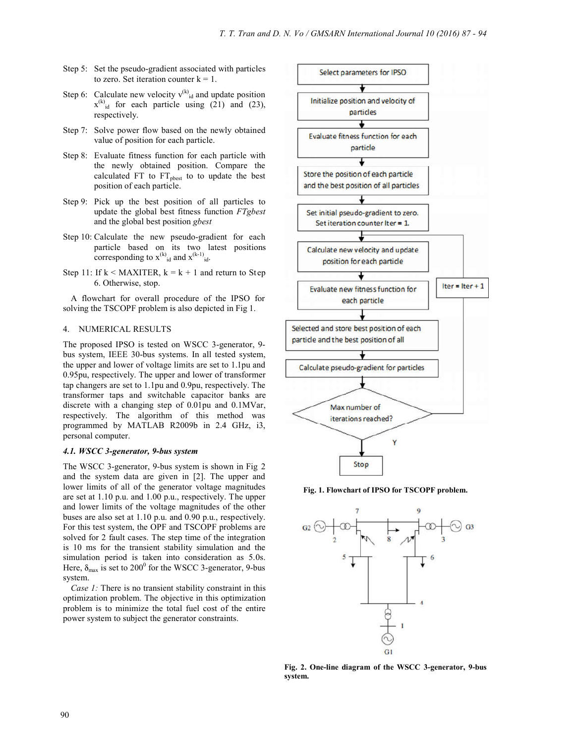- Step 5: Set the pseudo-gradient associated with particles to zero. Set iteration counter  $k = 1$ .
- Step 6: Calculate new velocity  $v^{(k)}$ <sub>id</sub> and update position  $x^{(k)}_{id}$  for each particle using (21) and (23), respectively.
- Step 7: Solve power flow based on the newly obtained value of position for each particle.
- Step 8: Evaluate fitness function for each particle with the newly obtained position. Compare the calculated FT to FT<sub>pbest</sub> to to update the best position of each particle.
- Step 9: Pick up the best position of all particles to update the global best fitness function *FTgbest*  and the global best position *gbest*
- Step 10: Calculate the new pseudo-gradient for each particle based on its two latest positions corresponding to  $x^{(k)}_{id}$  and  $x^{(k-1)}_{id}$ .
- Step 11: If  $k <$  MAXITER,  $k = k + 1$  and return to Step 6. Otherwise, stop.

A flowchart for overall procedure of the IPSO for solving the TSCOPF problem is also depicted in Fig 1.

### 4. NUMERICAL RESULTS

The proposed IPSO is tested on WSCC 3-generator, 9 bus system, IEEE 30-bus systems. In all tested system, the upper and lower of voltage limits are set to 1.1pu and 0.95pu, respectively. The upper and lower of transformer tap changers are set to 1.1pu and 0.9pu, respectively. The transformer taps and switchable capacitor banks are discrete with a changing step of 0.01pu and 0.1MVar, respectively. The algorithm of this method was programmed by MATLAB R2009b in 2.4 GHz, i3, personal computer.

## *4.1. WSCC 3-generator, 9-bus system*

The WSCC 3-generator, 9-bus system is shown in Fig 2 and the system data are given in [2]. The upper and lower limits of all of the generator voltage magnitudes are set at 1.10 p.u. and 1.00 p.u., respectively. The upper and lower limits of the voltage magnitudes of the other buses are also set at 1.10 p.u. and 0.90 p.u., respectively. For this test system, the OPF and TSCOPF problems are solved for 2 fault cases. The step time of the integration is 10 ms for the transient stability simulation and the simulation period is taken into consideration as 5.0s. Here,  $\delta_{\text{max}}$  is set to 200<sup>0</sup> for the WSCC 3-generator, 9-bus system.

*Case 1:* There is no transient stability constraint in this optimization problem. The objective in this optimization problem is to minimize the total fuel cost of the entire power system to subject the generator constraints.



**Fig. 1. Flowchart of IPSO for TSCOPF problem.** 



**Fig. 2. One-line diagram of the WSCC 3-generator, 9-bus system.**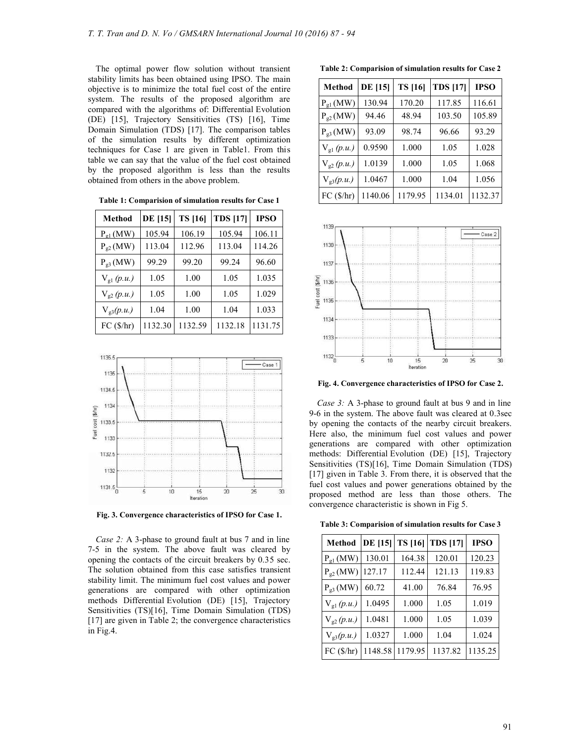The optimal power flow solution without transient stability limits has been obtained using IPSO. The main objective is to minimize the total fuel cost of the entire system. The results of the proposed algorithm are compared with the algorithms of: Differential Evolution (DE) [15], Trajectory Sensitivities (TS) [16], Time Domain Simulation (TDS) [17]. The comparison tables of the simulation results by different optimization techniques for Case 1 are given in Table1. From this table we can say that the value of the fuel cost obtained by the proposed algorithm is less than the results obtained from others in the above problem.

| Method              | <b>DE</b> [15] | <b>TS</b> [16] | <b>TDS</b> [17] | <b>IPSO</b> |
|---------------------|----------------|----------------|-----------------|-------------|
| $P_{o1}$ (MW)       | 105.94         | 106.19         | 105.94          | 106.11      |
| $P_{.2}$ (MW)       | 113.04         | 112.96         | 113.04          | 114.26      |
| $P_{g3}(MW)$        | 99.29          | 99.20          | 99.24           | 96.60       |
| $V_{\rm gl} (p.u.)$ | 1.05           | 1.00           | 1.05            | 1.035       |
| $V_{.2}(p.u.)$      | 1.05           | 1.00           | 1.05            | 1.029       |
| $V_{g3}(p.u.)$      | 1.04           | 1.00           | 1.04            | 1.033       |
| FC (\$/hr)          | 1132.30        | 1132.59        | 1132.18         | 1131.75     |

**Table 1: Comparision of simulation results for Case 1** 



**Fig. 3. Convergence characteristics of IPSO for Case 1.** 

*Case 2:* A 3-phase to ground fault at bus 7 and in line 7-5 in the system. The above fault was cleared by opening the contacts of the circuit breakers by 0.35 sec. The solution obtained from this case satisfies transient stability limit. The minimum fuel cost values and power generations are compared with other optimization methods Differential Evolution (DE) [15], Trajectory Sensitivities (TS)[16], Time Domain Simulation (TDS) [17] are given in Table 2; the convergence characteristics in Fig.4.

**Table 2: Comparision of simulation results for Case 2** 

| <b>Method</b>  | <b>DE</b> [15] | <b>TS</b> [16] | <b>TDS</b> [17] | <b>IPSO</b> |
|----------------|----------------|----------------|-----------------|-------------|
| $P_{g1}(MW)$   | 130.94         | 170.20         | 117.85          | 116.61      |
| $P_{g2}(MW)$   | 94.46          | 48.94          | 103.50          | 105.89      |
| $P_{g3}(MW)$   | 93.09          | 98.74          | 96.66           | 93.29       |
| $V_{gl}(p.u.)$ | 0.9590         | 1.000          | 1.05            | 1.028       |
| $V_{g2}(p.u.)$ | 1.0139         | 1.000          | 1.05            | 1.068       |
| $V_{g3}(p.u.)$ | 1.0467         | 1.000          | 1.04            | 1.056       |
| FC (\$/hr)     | 1140.06        | 1179.95        | 1134.01         | 1132.37     |



**Fig. 4. Convergence characteristics of IPSO for Case 2.** 

*Case 3:* A 3-phase to ground fault at bus 9 and in line 9-6 in the system. The above fault was cleared at 0.3sec by opening the contacts of the nearby circuit breakers. Here also, the minimum fuel cost values and power generations are compared with other optimization methods: Differential Evolution (DE) [15], Trajectory Sensitivities (TS)[16], Time Domain Simulation (TDS) [17] given in Table 3. From there, it is observed that the fuel cost values and power generations obtained by the proposed method are less than those others. The convergence characteristic is shown in Fig 5.

**Table 3: Comparision of simulation results for Case 3** 

| <b>Method</b>       | <b>DE</b> [15] | <b>TS</b> [16] | <b>TDS [17]</b> | <b>IPSO</b> |
|---------------------|----------------|----------------|-----------------|-------------|
| $P_{g1}(MW)$        | 130.01         | 164.38         | 120.01          | 120.23      |
| $P_{g2}(MW)$        | 127.17         | 112.44         | 121.13          | 119.83      |
| $P_{g3}(MW)$        | 60.72          | 41.00          | 76.84           | 76.95       |
| $V_{\rm gl} (p.u.)$ | 1.0495         | 1.000          | 1.05            | 1.019       |
| $V_{g2}(p.u.)$      | 1.0481         | 1.000          | 1.05            | 1.039       |
| $V_{g3}(p.u.)$      | 1.0327         | 1.000          | 1.04            | 1.024       |
| FC (\$/hr)          | 1148.58        | 1179.95        | 1137.82         | 1135.25     |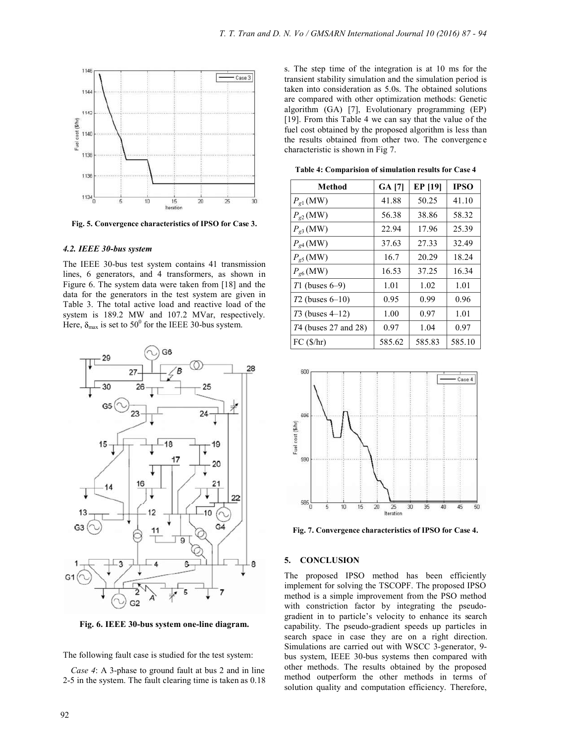

**Fig. 5. Convergence characteristics of IPSO for Case 3.** 

## *4.2. IEEE 30-bus system*

The IEEE 30-bus test system contains 41 transmission lines, 6 generators, and 4 transformers, as shown in Figure 6. The system data were taken from [18] and the data for the generators in the test system are given in Table 3. The total active load and reactive load of the system is 189.2 MW and 107.2 MVar, respectively. Here,  $\delta_{\text{max}}$  is set to 50<sup>0</sup> for the IEEE 30-bus system.



**Fig. 6. IEEE 30-bus system one-line diagram.** 

The following fault case is studied for the test system:

*Case 4*: A 3-phase to ground fault at bus 2 and in line 2-5 in the system. The fault clearing time is taken as 0.18 s. The step time of the integration is at 10 ms for the transient stability simulation and the simulation period is taken into consideration as 5.0s. The obtained solutions are compared with other optimization methods: Genetic algorithm (GA) [7], Evolutionary programming (EP) [19]. From this Table 4 we can say that the value of the fuel cost obtained by the proposed algorithm is less than the results obtained from other two. The convergence characteristic is shown in Fig 7.

**Table 4: Comparision of simulation results for Case 4** 

| Method               | GA [7] | <b>EP</b> [19] | <b>IPSO</b> |
|----------------------|--------|----------------|-------------|
| $P_{g1}$ (MW)        | 41.88  | 50.25          | 41.10       |
| $P_{g2}$ (MW)        | 56.38  | 38.86          | 58.32       |
| $P_{g3}$ (MW)        | 22.94  | 17.96          | 25.39       |
| $P_{g4}$ (MW)        | 37.63  | 27.33          | 32.49       |
| $P_{g5}$ (MW)        | 16.7   | 20.29          | 18.24       |
| $P_{g6}$ (MW)        | 16.53  | 37.25          | 16.34       |
| $T1$ (buses 6–9)     | 1.01   | 1.02           | 1.01        |
| $T2$ (buses 6–10)    | 0.95   | 0.99           | 0.96        |
| $T3$ (buses $4-12$ ) | 1.00   | 0.97           | 1.01        |
| 74 (buses 27 and 28) | 0.97   | 1.04           | 0.97        |
| FC (S/hr)            | 585.62 | 585.83         | 585.10      |



**Fig. 7. Convergence characteristics of IPSO for Case 4.** 

## **5. CONCLUSION**

The proposed IPSO method has been efficiently implement for solving the TSCOPF. The proposed IPSO method is a simple improvement from the PSO method with constriction factor by integrating the pseudogradient in to particle's velocity to enhance its search capability. The pseudo-gradient speeds up particles in search space in case they are on a right direction. Simulations are carried out with WSCC 3-generator, 9 bus system, IEEE 30-bus systems then compared with other methods. The results obtained by the proposed method outperform the other methods in terms of solution quality and computation efficiency. Therefore,